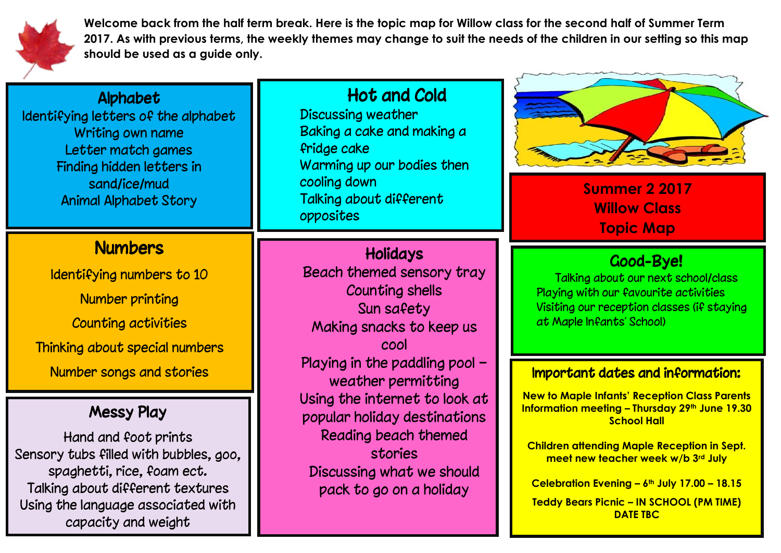

**Welcome back from the half term break. Here is the topic map for Willow class for the second half of Summer Term 2017. As with previous terms, the weekly themes may change to suit the needs of the children in our setting so this map should be used as a guide only.** 

### **Alphabet**

Identifying letters of the alphabet Writing own name Letter match games Finding hidden letters in sand/ice/mud Animal Alphabet Story

## **Numbers**

Identifying numbers to 10 Number printing Counting activities Thinking about special numbers Number songs and stories

### Messy Play

Hand and foot prints Sensory tubs filled with bubbles, goo, spaghetti, rice, foam ect. Talking about different textures Using the language associated with capacity and weight

Hot and Cold Discussing weather Baking a cake and making a fridge cake Warming up our bodies then cooling down Talking about different opposites

# Holidays

ׇ֚֚֚֬

Beach themed sensory tray Counting shells Sun safety Making snacks to keep us cool Playing in the paddling pool – weather permitting Using the internet to look at popular holiday destinations Reading beach themed stories Discussing what we should pack to go on a holiday



**Summer 2 2017 Willow Class Topic Map**

# Good-Bye!

Talking about our next school/class Playing with our favourite activities Visiting our reception classes (if staying at Maple Infants' School)

#### Important dates and information:

**New to Maple Infants' Reception Class Parents Information meeting – Thursday 29th June 19.30 School Hall**

**Children attending Maple Reception in Sept. meet new teacher week w/b 3rd July**

**Celebration Evening – 6th July 17.00 – 18.15 Teddy Bears Picnic – IN SCHOOL (PM TIME)** 

**DATE TBC**